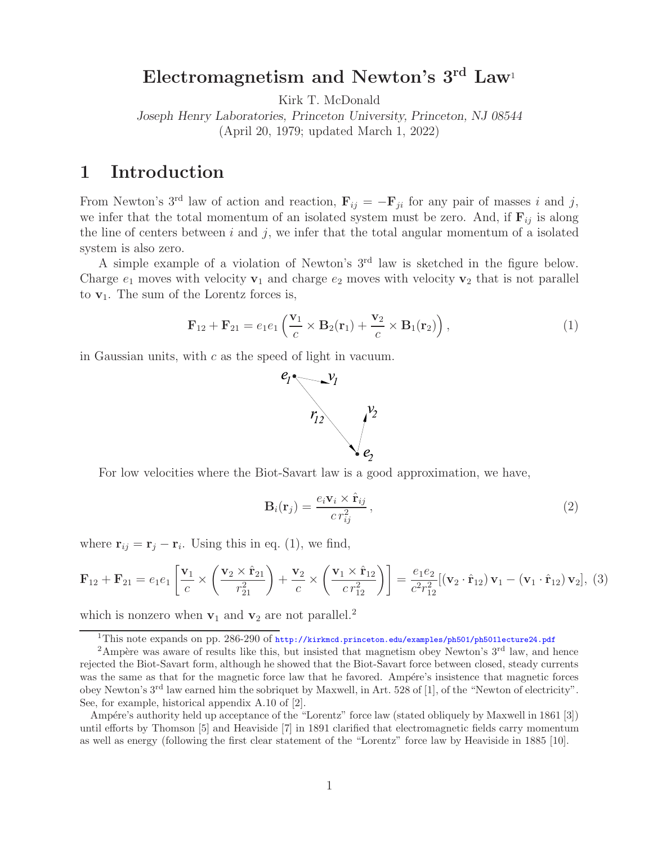### **Electromagnetism and Newton's 3rd Law**<sup>1</sup>

Kirk T. McDonald

*Joseph Henry Laboratories, Princeton University, Princeton, NJ 08544* (April 20, 1979; updated March 1, 2022)

### **1 Introduction**

From Newton's 3<sup>rd</sup> law of action and reaction,  $\mathbf{F}_{ij} = -\mathbf{F}_{ji}$  for any pair of masses i and j, we infer that the total momentum of an isolated system must be zero. And, if  $\mathbf{F}_{ij}$  is along the line of centers between  $i$  and  $j$ , we infer that the total angular momentum of a isolated system is also zero.

A simple example of a violation of Newton's 3rd law is sketched in the figure below. Charge  $e_1$  moves with velocity  $\mathbf{v}_1$  and charge  $e_2$  moves with velocity  $\mathbf{v}_2$  that is not parallel to  $\mathbf{v}_1$ . The sum of the Lorentz forces is,

$$
\mathbf{F}_{12} + \mathbf{F}_{21} = e_1 e_1 \left( \frac{\mathbf{v}_1}{c} \times \mathbf{B}_2(\mathbf{r}_1) + \frac{\mathbf{v}_2}{c} \times \mathbf{B}_1(\mathbf{r}_2) \right), \tag{1}
$$

in Gaussian units, with c as the speed of light in vacuum.



For low velocities where the Biot-Savart law is a good approximation, we have,

$$
\mathbf{B}_{i}(\mathbf{r}_{j}) = \frac{e_{i}\mathbf{v}_{i} \times \hat{\mathbf{r}}_{ij}}{c r_{ij}^{2}},
$$
\n(2)

where  $\mathbf{r}_{ij} = \mathbf{r}_j - \mathbf{r}_i$ . Using this in eq. (1), we find,

$$
\mathbf{F}_{12} + \mathbf{F}_{21} = e_1 e_1 \left[ \frac{\mathbf{v}_1}{c} \times \left( \frac{\mathbf{v}_2 \times \hat{\mathbf{r}}_{21}}{r_{21}^2} \right) + \frac{\mathbf{v}_2}{c} \times \left( \frac{\mathbf{v}_1 \times \hat{\mathbf{r}}_{12}}{c r_{12}^2} \right) \right] = \frac{e_1 e_2}{c^2 r_{12}^2} [(\mathbf{v}_2 \cdot \hat{\mathbf{r}}_{12}) \mathbf{v}_1 - (\mathbf{v}_1 \cdot \hat{\mathbf{r}}_{12}) \mathbf{v}_2], (3)
$$

which is nonzero when  $v_1$  and  $v_2$  are not parallel.<sup>2</sup>

 $\overline{^{1}$ This note expands on pp. 286-290 of http://kirkmcd.princeton.edu/examples/ph501/ph501lecture24.pdf

<sup>&</sup>lt;sup>2</sup>Ampère was aware of results like this, but insisted that magnetism obey Newton's  $3<sup>rd</sup>$  law, and hence rejected the Biot-Savart form, although he showed that the Biot-Savart force between closed, steady currents was the same as that for the magnetic force law that he favored. Ampére's insistence that magnetic forces obey Newton's 3rd law earned him the sobriquet by Maxwell, in Art. 528 of [1], of the "Newton of electricity". See, for example, historical appendix A.10 of [2].

Ampére's authority held up acceptance of the "Lorentz" force law (stated obliquely by Maxwell in 1861 [3]) until efforts by Thomson [5] and Heaviside [7] in 1891 clarified that electromagnetic fields carry momentum as well as energy (following the first clear statement of the "Lorentz" force law by Heaviside in 1885 [10].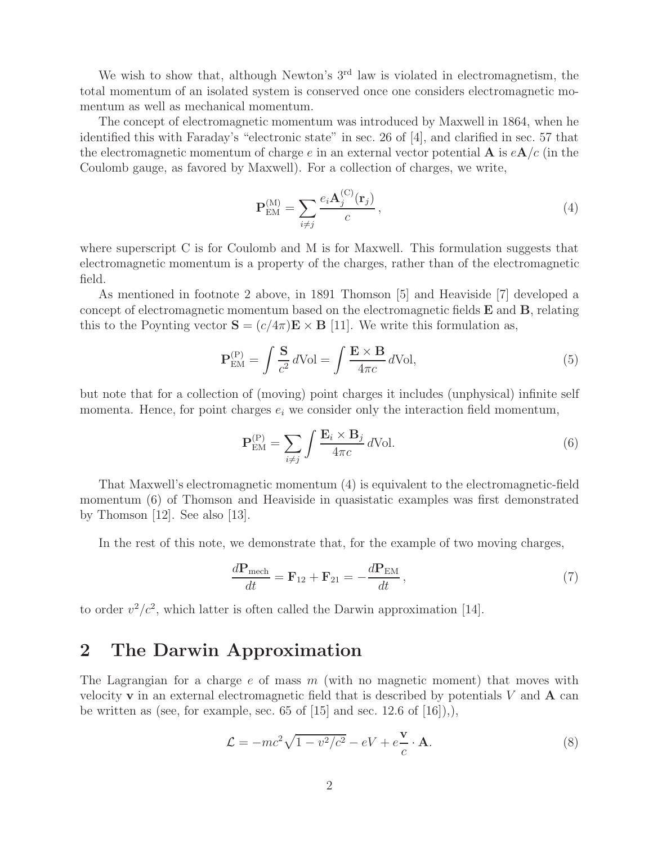We wish to show that, although Newton's  $3<sup>rd</sup>$  law is violated in electromagnetism, the total momentum of an isolated system is conserved once one considers electromagnetic momentum as well as mechanical momentum.

The concept of electromagnetic momentum was introduced by Maxwell in 1864, when he identified this with Faraday's "electronic state" in sec. 26 of [4], and clarified in sec. 57 that the electromagnetic momentum of charge e in an external vector potential **A** is  $eA/c$  (in the Coulomb gauge, as favored by Maxwell). For a collection of charges, we write,

$$
\mathbf{P}_{\text{EM}}^{(\text{M})} = \sum_{i \neq j} \frac{e_i \mathbf{A}_j^{(\text{C})}(\mathbf{r}_j)}{c},\tag{4}
$$

where superscript C is for Coulomb and M is for Maxwell. This formulation suggests that electromagnetic momentum is a property of the charges, rather than of the electromagnetic field.

As mentioned in footnote 2 above, in 1891 Thomson [5] and Heaviside [7] developed a concept of electromagnetic momentum based on the electromagnetic fields **E** and **B**, relating this to the Poynting vector  $\mathbf{S} = (c/4\pi)\mathbf{E} \times \mathbf{B}$  [11]. We write this formulation as,

$$
\mathbf{P}_{\text{EM}}^{(P)} = \int \frac{\mathbf{S}}{c^2} d\text{Vol} = \int \frac{\mathbf{E} \times \mathbf{B}}{4\pi c} d\text{Vol},\tag{5}
$$

but note that for a collection of (moving) point charges it includes (unphysical) infinite self momenta. Hence, for point charges  $e_i$  we consider only the interaction field momentum,

$$
\mathbf{P}_{\text{EM}}^{(P)} = \sum_{i \neq j} \int \frac{\mathbf{E}_i \times \mathbf{B}_j}{4\pi c} d\text{Vol}.\tag{6}
$$

That Maxwell's electromagnetic momentum (4) is equivalent to the electromagnetic-field momentum (6) of Thomson and Heaviside in quasistatic examples was first demonstrated by Thomson [12]. See also [13].

In the rest of this note, we demonstrate that, for the example of two moving charges,

$$
\frac{d\mathbf{P}_{\text{mech}}}{dt} = \mathbf{F}_{12} + \mathbf{F}_{21} = -\frac{d\mathbf{P}_{\text{EM}}}{dt},\tag{7}
$$

to order  $v^2/c^2$ , which latter is often called the Darwin approximation [14].

#### **2 The Darwin Approximation**

The Lagrangian for a charge  $e$  of mass  $m$  (with no magnetic moment) that moves with velocity **v** in an external electromagnetic field that is described by potentials V and **A** can be written as (see, for example, sec. 65 of  $[15]$  and sec. 12.6 of  $[16]$ ),),

$$
\mathcal{L} = -mc^2\sqrt{1 - v^2/c^2} - eV + e\frac{\mathbf{v}}{c} \cdot \mathbf{A}.
$$
 (8)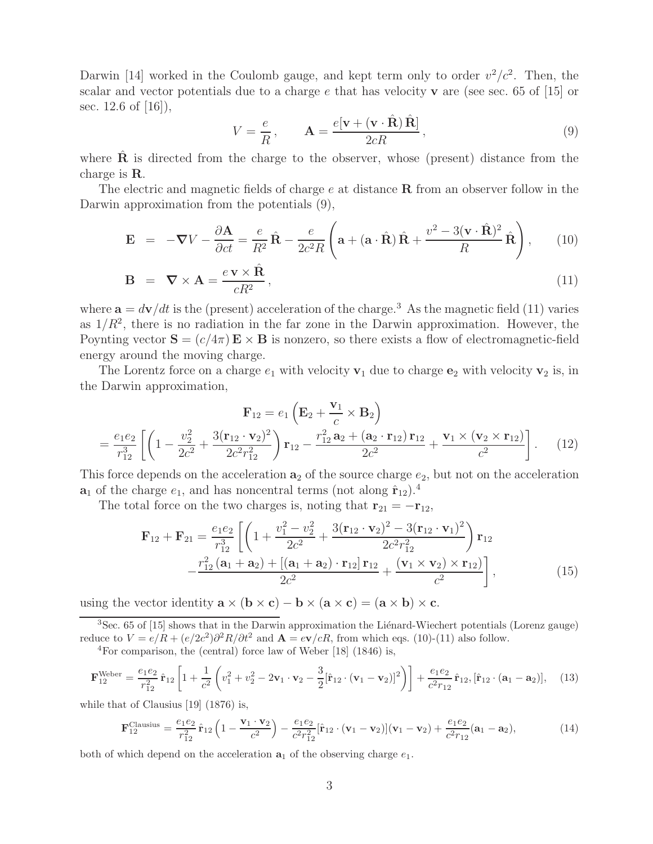Darwin [14] worked in the Coulomb gauge, and kept term only to order  $v^2/c^2$ . Then, the scalar and vector potentials due to a charge e that has velocity **v** are (see sec. 65 of [15] or sec. 12.6 of [16]),

$$
V = \frac{e}{R}, \qquad \mathbf{A} = \frac{e[\mathbf{v} + (\mathbf{v} \cdot \hat{\mathbf{R}}) \hat{\mathbf{R}}]}{2cR}, \qquad (9)
$$

where  $\hat{\mathbf{R}}$  is directed from the charge to the observer, whose (present) distance from the charge is **R**.

The electric and magnetic fields of charge e at distance **R** from an observer follow in the Darwin approximation from the potentials (9),

$$
\mathbf{E} = -\nabla V - \frac{\partial \mathbf{A}}{\partial ct} = \frac{e}{R^2} \hat{\mathbf{R}} - \frac{e}{2c^2 R} \left( \mathbf{a} + (\mathbf{a} \cdot \hat{\mathbf{R}}) \hat{\mathbf{R}} + \frac{v^2 - 3(\mathbf{v} \cdot \hat{\mathbf{R}})^2}{R} \hat{\mathbf{R}} \right), \quad (10)
$$

$$
\mathbf{B} = \nabla \times \mathbf{A} = \frac{e \mathbf{v} \times \hat{\mathbf{R}}}{cR^2},
$$
\n(11)

where  $\mathbf{a} = d\mathbf{v}/dt$  is the (present) acceleration of the charge.<sup>3</sup> As the magnetic field (11) varies as  $1/R^2$ , there is no radiation in the far zone in the Darwin approximation. However, the Poynting vector  $S = (c/4\pi) E \times B$  is nonzero, so there exists a flow of electromagnetic-field energy around the moving charge.

The Lorentz force on a charge  $e_1$  with velocity  $\mathbf{v}_1$  due to charge  $\mathbf{e}_2$  with velocity  $\mathbf{v}_2$  is, in the Darwin approximation,

$$
\mathbf{F}_{12} = e_1 \left( \mathbf{E}_2 + \frac{\mathbf{v}_1}{c} \times \mathbf{B}_2 \right)
$$
  
=  $\frac{e_1 e_2}{r_{12}^3} \left[ \left( 1 - \frac{v_2^2}{2c^2} + \frac{3(\mathbf{r}_{12} \cdot \mathbf{v}_2)^2}{2c^2 r_{12}^2} \right) \mathbf{r}_{12} - \frac{r_{12}^2 \mathbf{a}_2 + (\mathbf{a}_2 \cdot \mathbf{r}_{12}) \mathbf{r}_{12}}{2c^2} + \frac{\mathbf{v}_1 \times (\mathbf{v}_2 \times \mathbf{r}_{12})}{c^2} \right].$  (12)

This force depends on the acceleration  $\mathbf{a}_2$  of the source charge  $e_2$ , but not on the acceleration  $\mathbf{a}_1$  of the charge  $e_1$ , and has noncentral terms (not along  $\hat{\mathbf{r}}_{12}$ ).<sup>4</sup>

The total force on the two charges is, noting that  $\mathbf{r}_{21} = -\mathbf{r}_{12}$ ,

$$
\mathbf{F}_{12} + \mathbf{F}_{21} = \frac{e_1 e_2}{r_{12}^3} \left[ \left( 1 + \frac{v_1^2 - v_2^2}{2c^2} + \frac{3(\mathbf{r}_{12} \cdot \mathbf{v}_2)^2 - 3(\mathbf{r}_{12} \cdot \mathbf{v}_1)^2}{2c^2 r_{12}^2} \right) \mathbf{r}_{12} - \frac{r_{12}^2 (\mathbf{a}_1 + \mathbf{a}_2) + [(\mathbf{a}_1 + \mathbf{a}_2) \cdot \mathbf{r}_{12}] \mathbf{r}_{12}}{2c^2} + \frac{(\mathbf{v}_1 \times \mathbf{v}_2) \times \mathbf{r}_{12}}{c^2} \right],
$$
(15)

using the vector identity  $\mathbf{a} \times (\mathbf{b} \times \mathbf{c}) - \mathbf{b} \times (\mathbf{a} \times \mathbf{c}) = (\mathbf{a} \times \mathbf{b}) \times \mathbf{c}$ .

 ${}^{3}$ Sec. 65 of [15] shows that in the Darwin approximation the Liénard-Wiechert potentials (Lorenz gauge) reduce to  $V = e/R + (e/2c^2)\partial^2 R/\partial t^2$  and  $\mathbf{A} = e\mathbf{v}/cR$ , from which eqs. (10)-(11) also follow.

 ${}^{4}$ For comparison, the (central) force law of Weber [18] (1846) is,

$$
\mathbf{F}_{12}^{\text{Weber}} = \frac{e_1 e_2}{r_{12}^2} \hat{\mathbf{r}}_{12} \left[ 1 + \frac{1}{c^2} \left( v_1^2 + v_2^2 - 2\mathbf{v}_1 \cdot \mathbf{v}_2 - \frac{3}{2} [\hat{\mathbf{r}}_{12} \cdot (\mathbf{v}_1 - \mathbf{v}_2)]^2 \right) \right] + \frac{e_1 e_2}{c^2 r_{12}} \hat{\mathbf{r}}_{12}, [\hat{\mathbf{r}}_{12} \cdot (\mathbf{a}_1 - \mathbf{a}_2)], \quad (13)
$$

while that of Clausius [19] (1876) is,

$$
\mathbf{F}_{12}^{\text{Classius}} = \frac{e_1 e_2}{r_{12}^2} \hat{\mathbf{r}}_{12} \left( 1 - \frac{\mathbf{v}_1 \cdot \mathbf{v}_2}{c^2} \right) - \frac{e_1 e_2}{c^2 r_{12}^2} [\hat{\mathbf{r}}_{12} \cdot (\mathbf{v}_1 - \mathbf{v}_2)] (\mathbf{v}_1 - \mathbf{v}_2) + \frac{e_1 e_2}{c^2 r_{12}} (\mathbf{a}_1 - \mathbf{a}_2), \tag{14}
$$

both of which depend on the acceleration  $a_1$  of the observing charge  $e_1$ .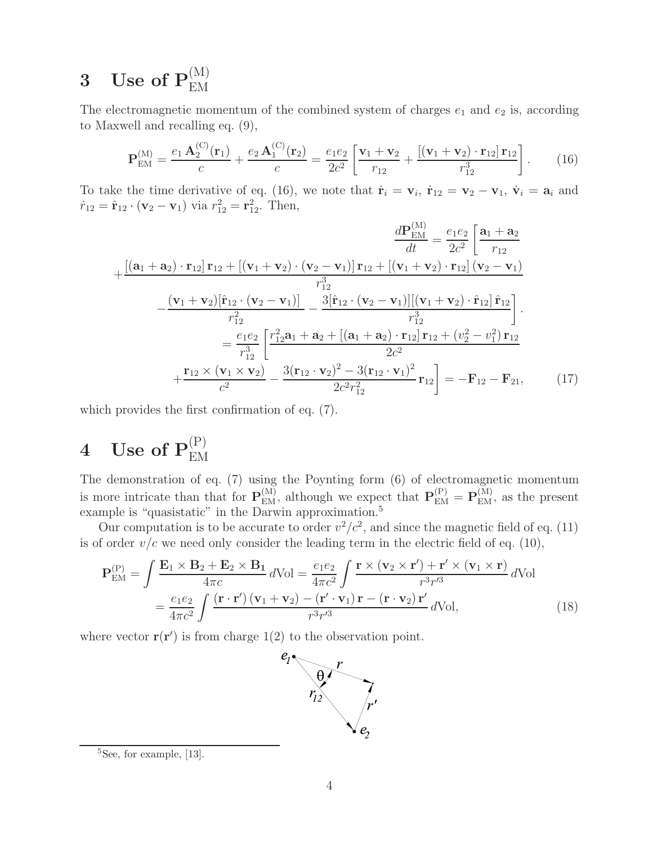# $\mathbf 3 \quad \mathbf{Use\ of\ } \mathbf{P}_{\text{EM}}^{(\text{M})}$

The electromagnetic momentum of the combined system of charges  $e_1$  and  $e_2$  is, according to Maxwell and recalling eq. (9),

$$
\mathbf{P}_{\text{EM}}^{(\text{M})} = \frac{e_1 \mathbf{A}_2^{(\text{C})}(\mathbf{r}_1)}{c} + \frac{e_2 \mathbf{A}_1^{(\text{C})}(\mathbf{r}_2)}{c} = \frac{e_1 e_2}{2c^2} \left[ \frac{\mathbf{v}_1 + \mathbf{v}_2}{r_{12}} + \frac{[(\mathbf{v}_1 + \mathbf{v}_2) \cdot \mathbf{r}_{12}] \mathbf{r}_{12}}{r_{12}^3} \right].
$$
 (16)

To take the time derivative of eq. (16), we note that  $\dot{\mathbf{r}}_i = \mathbf{v}_i$ ,  $\dot{\mathbf{r}}_{12} = \mathbf{v}_2 - \mathbf{v}_1$ ,  $\dot{\mathbf{v}}_i = \mathbf{a}_i$  and  $\dot{r}_{12} = \hat{\mathbf{r}}_{12} \cdot (\mathbf{v}_2 - \mathbf{v}_1)$  via  $r_{12}^2 = \mathbf{r}_{12}^2$ . Then,

$$
+\frac{[(a_1 + a_2) \cdot r_{12}] r_{12} + [(v_1 + v_2) \cdot (v_2 - v_1)] r_{12} + [(v_1 + v_2) \cdot r_{12}] (v_2 - v_1)}{r_{12}^3}
$$

$$
+\frac{(v_1 + v_2)[\hat{r}_{12} \cdot (v_2 - v_1)]}{r_{12}^2} - \frac{(v_1 + v_2)[\hat{r}_{12} \cdot (v_2 - v_1)]}{r_{12}^2} - \frac{3[\hat{r}_{12} \cdot (v_2 - v_1)][(v_1 + v_2) \cdot \hat{r}_{12}] \hat{r}_{12}}{r_{12}^3}
$$

$$
=\frac{e_1 e_2}{r_{12}^3} \left[ \frac{r_{12}^2 a_1 + a_2 + [(a_1 + a_2) \cdot r_{12}] r_{12} + (v_2^2 - v_1^2) r_{12}}{2c^2} + \frac{r_{12} \times (v_1 \times v_2)}{c^2} - \frac{3(r_{12} \cdot v_2)^2 - 3(r_{12} \cdot v_1)^2}{2c^2 r_{12}^2} r_{12} \right] = -F_{12} - F_{21}, \qquad (17)
$$

which provides the first confirmation of eq. (7).

# $4$  Use of  $\mathbf{P}_{\text{EM}}^{(\text{P})}$

The demonstration of eq. (7) using the Poynting form (6) of electromagnetic momentum is more intricate than that for  $\mathbf{P}_{EM}^{(M)}$ , although we expect that  $\mathbf{P}_{EM}^{(P)} = \mathbf{P}_{EM}^{(M)}$ , as the present example is "quasistatic" in the Darwin approximation.<sup>5</sup>

Our computation is to be accurate to order  $v^2/c^2$ , and since the magnetic field of eq. (11) is of order  $v/c$  we need only consider the leading term in the electric field of eq. (10),

$$
\mathbf{P}_{\text{EM}}^{(P)} = \int \frac{\mathbf{E}_1 \times \mathbf{B}_2 + \mathbf{E}_2 \times \mathbf{B}_1}{4\pi c} d\text{Vol} = \frac{e_1 e_2}{4\pi c^2} \int \frac{\mathbf{r} \times (\mathbf{v}_2 \times \mathbf{r}') + \mathbf{r}' \times (\mathbf{v}_1 \times \mathbf{r})}{r^3 r'^3} d\text{Vol}
$$
  
= 
$$
\frac{e_1 e_2}{4\pi c^2} \int \frac{(\mathbf{r} \cdot \mathbf{r}') (\mathbf{v}_1 + \mathbf{v}_2) - (\mathbf{r}' \cdot \mathbf{v}_1) \mathbf{r} - (\mathbf{r} \cdot \mathbf{v}_2) \mathbf{r}'}{r^3 r'^3} d\text{Vol},
$$
(18)

where vector  $\mathbf{r}(\mathbf{r}')$  is from charge 1(2) to the observation point.



<sup>&</sup>lt;sup>5</sup>See, for example, [13].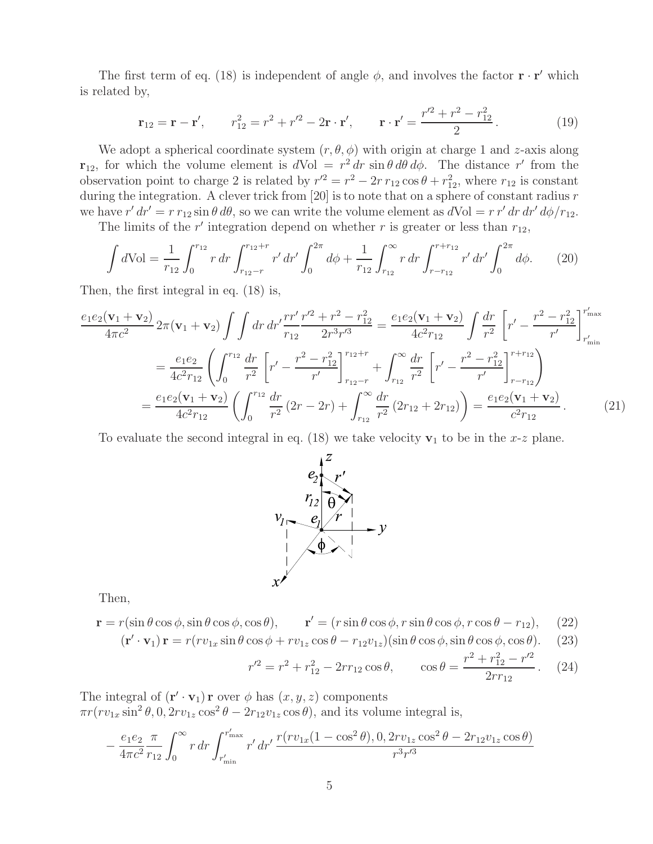The first term of eq. (18) is independent of angle  $\phi$ , and involves the factor **r** · **r'** which is related by,

$$
\mathbf{r}_{12} = \mathbf{r} - \mathbf{r}', \qquad r_{12}^2 = r^2 + r'^2 - 2\mathbf{r} \cdot \mathbf{r}', \qquad \mathbf{r} \cdot \mathbf{r}' = \frac{r'^2 + r^2 - r_{12}^2}{2}.
$$
 (19)

We adopt a spherical coordinate system  $(r, \theta, \phi)$  with origin at charge 1 and z-axis along **r**<sub>12</sub>, for which the volume element is  $dVol = r^2 dr \sin \theta d\theta d\phi$ . The distance r' from the observation point to charge 2 is related by  $r'^2 = r^2 - 2r r_{12} \cos \theta + r_{12}^2$ , where  $r_{12}$  is constant during the integration. A clever trick from  $[20]$  is to note that on a sphere of constant radius r we have  $r' dr' = r r_{12} \sin \theta d\theta$ , so we can write the volume element as  $dVol = r r' dr dr' d\phi/r_{12}$ .

The limits of the r' integration depend on whether r is greater or less than  $r_{12}$ ,

$$
\int d\text{Vol} = \frac{1}{r_{12}} \int_0^{r_{12}} r \, dr \int_{r_{12}-r}^{r_{12}+r} r' \, dr' \int_0^{2\pi} d\phi + \frac{1}{r_{12}} \int_{r_{12}}^{\infty} r \, dr \int_{r-r_{12}}^{r+r_{12}} r' \, dr' \int_0^{2\pi} d\phi. \tag{20}
$$

Then, the first integral in eq. (18) is,

$$
\frac{e_1 e_2 (\mathbf{v}_1 + \mathbf{v}_2)}{4 \pi c^2} 2 \pi (\mathbf{v}_1 + \mathbf{v}_2) \int \int dr \, dr' \frac{rr'}{r_{12}} \frac{r'^2 + r^2 - r_{12}^2}{2r^3 r'^3} = \frac{e_1 e_2 (\mathbf{v}_1 + \mathbf{v}_2)}{4c^2 r_{12}} \int \frac{dr}{r^2} \left[ r' - \frac{r^2 - r_{12}^2}{r'} \right]_{r'_{\text{min}}}^{r'_{\text{max}}}
$$
\n
$$
= \frac{e_1 e_2}{4c^2 r_{12}} \left( \int_0^{r_{12}} \frac{dr}{r^2} \left[ r' - \frac{r^2 - r_{12}^2}{r'} \right]_{r_{12} - r}^{r_{12} + r} + \int_{r_{12}}^\infty \frac{dr}{r^2} \left[ r' - \frac{r^2 - r_{12}^2}{r'} \right]_{r - r_{12}}^{r + r_{12}} \right)
$$
\n
$$
= \frac{e_1 e_2 (\mathbf{v}_1 + \mathbf{v}_2)}{4c^2 r_{12}} \left( \int_0^{r_{12}} \frac{dr}{r^2} (2r - 2r) + \int_{r_{12}}^\infty \frac{dr}{r^2} (2r_{12} + 2r_{12}) \right) = \frac{e_1 e_2 (\mathbf{v}_1 + \mathbf{v}_2)}{c^2 r_{12}}. \tag{21}
$$

To evaluate the second integral in eq. (18) we take velocity  $v_1$  to be in the x-z plane.



Then,

 $\mathbf{r} = r(\sin \theta \cos \phi, \sin \theta \cos \phi, \cos \theta), \qquad \mathbf{r}' = (r \sin \theta \cos \phi, r \sin \theta \cos \phi, r \cos \theta - r_{12}),$  (22)

$$
(\mathbf{r}' \cdot \mathbf{v}_1) \mathbf{r} = r(rv_{1x} \sin \theta \cos \phi + rv_{1z} \cos \theta - r_{12}v_{1z}) (\sin \theta \cos \phi, \sin \theta \cos \phi, \cos \theta). \tag{23}
$$

$$
r'^2 = r^2 + r_{12}^2 - 2rr_{12}\cos\theta, \qquad \cos\theta = \frac{r^2 + r_{12}^2 - r'^2}{2rr_{12}}. \tag{24}
$$

The integral of  $(\mathbf{r}' \cdot \mathbf{v}_1) \mathbf{r}$  over  $\phi$  has  $(x, y, z)$  components  $\pi r (rv_{1x} \sin^2 \theta, 0, 2rv_{1z} \cos^2 \theta - 2r_{12}v_{1z} \cos \theta)$ , and its volume integral is,

$$
-\frac{e_1 e_2}{4\pi c^2} \frac{\pi}{r_{12}} \int_0^\infty r \, dr \int_{r'_{\text{min}}}^{r'_{\text{max}}} r' \, dr' \, \frac{r(rv_{1x}(1-\cos^2\theta), 0, 2rv_{1z}\cos^2\theta - 2r_{12}v_{1z}\cos\theta)}{r^3 r'^3}
$$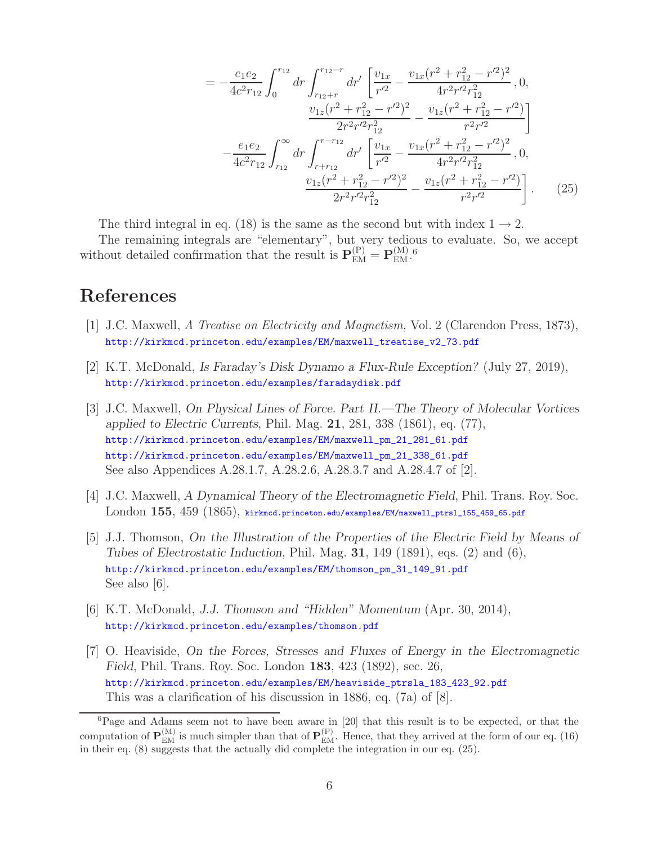$$
= -\frac{e_1 e_2}{4c^2 r_{12}} \int_0^{r_{12}} dr' \left[ \frac{v_{1x}}{r'^2} - \frac{v_{1x} (r^2 + r_{12}^2 - r'^2)^2}{4r^2 r'^2 r_{12}^2}, 0, \frac{v_{1z} (r^2 + r_{12}^2 - r'^2)^2}{2r^2 r'^2 r_{12}^2} - \frac{v_{1z} (r^2 + r_{12}^2 - r'^2)}{r^2 r'^2} \right] - \frac{e_1 e_2}{4c^2 r_{12}} \int_{r_{12}}^{\infty} dr \int_{r + r_{12}}^{r - r_{12}} dr' \left[ \frac{v_{1x}}{r'^2} - \frac{v_{1x} (r^2 + r_{12}^2 - r'^2)^2}{4r^2 r'^2 r_{12}^2}, 0, \frac{v_{1z} (r^2 + r_{12}^2 - r'^2)^2}{2r^2 r'^2 r_{12}^2} - \frac{v_{1z} (r^2 + r_{12}^2 - r'^2)}{r^2 r'^2} \right]. \tag{25}
$$

The third integral in eq. (18) is the same as the second but with index  $1 \rightarrow 2$ .

The remaining integrals are "elementary", but very tedious to evaluate. So, we accept without detailed confirmation that the result is  $\mathbf{P}_{\text{EM}}^{(P)} = \mathbf{P}_{\text{EM}}^{(M)}$ .

## **References**

- [1] J.C. Maxwell, *A Treatise on Electricity and Magnetism*, Vol. 2 (Clarendon Press, 1873), http://kirkmcd.princeton.edu/examples/EM/maxwell\_treatise\_v2\_73.pdf
- [2] K.T. McDonald, *Is Faraday's Disk Dynamo a Flux-Rule Exception?* (July 27, 2019), http://kirkmcd.princeton.edu/examples/faradaydisk.pdf
- [3] J.C. Maxwell, *On Physical Lines of Force. Part II.—The Theory of Molecular Vortices applied to Electric Currents*, Phil. Mag. **21**, 281, 338 (1861), eq. (77), http://kirkmcd.princeton.edu/examples/EM/maxwell\_pm\_21\_281\_61.pdf http://kirkmcd.princeton.edu/examples/EM/maxwell\_pm\_21\_338\_61.pdf See also Appendices A.28.1.7, A.28.2.6, A.28.3.7 and A.28.4.7 of [2].
- [4] J.C. Maxwell, *A Dynamical Theory of the Electromagnetic Field*, Phil. Trans. Roy. Soc. London **155**, 459 (1865), kirkmcd.princeton.edu/examples/EM/maxwell\_ptrsl\_155\_459\_65.pdf
- [5] J.J. Thomson, *On the Illustration of the Properties of the Electric Field by Means of Tubes of Electrostatic Induction*, Phil. Mag. **31**, 149 (1891), eqs. (2) and (6), http://kirkmcd.princeton.edu/examples/EM/thomson\_pm\_31\_149\_91.pdf See also [6].
- [6] K.T. McDonald, *J.J. Thomson and "Hidden" Momentum* (Apr. 30, 2014), http://kirkmcd.princeton.edu/examples/thomson.pdf
- [7] O. Heaviside, *On the Forces, Stresses and Fluxes of Energy in the Electromagnetic Field*, Phil. Trans. Roy. Soc. London **183**, 423 (1892), sec. 26, http://kirkmcd.princeton.edu/examples/EM/heaviside\_ptrsla\_183\_423\_92.pdf This was a clarification of his discussion in 1886, eq. (7a) of [8].

<sup>&</sup>lt;sup>6</sup>Page and Adams seem not to have been aware in [20] that this result is to be expected, or that the computation of  $\mathbf{P}_{\text{EM}}^{(M)}$  is much simpler than that of  $\mathbf{P}_{\text{EM}}^{(P)}$ . Hence, that they arrived at the form of our eq. (16) in their eq. (8) suggests that the actually did complete the integration in our eq. (25).